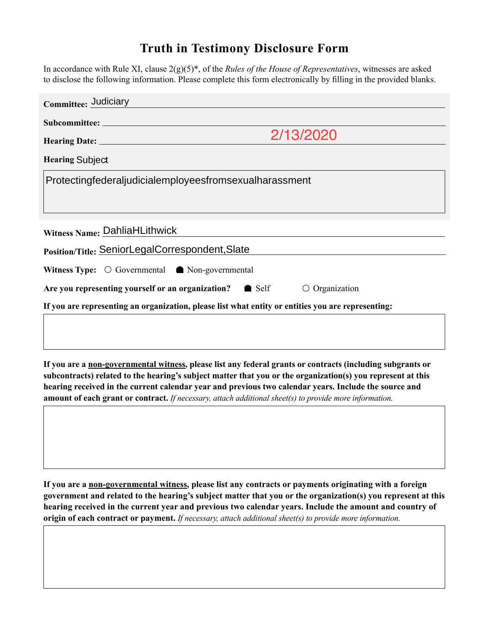## **Truth in Testimony Disclosure Form**

In accordance with Rule XI, clause 2(g)(5)\*, of the *Rules of the House of Representatives*, witnesses are asked to disclose the following information. Please complete this form electronically by filling in the provided blanks.

**If you are a non-governmental witness, please list any federal grants or contracts (including subgrants or subcontracts) related to the hearing's subject matter that you or the organization(s) you represent at this hearing received in the current calendar year and previous two calendar years. Include the source and amount of each grant or contract.** *If necessary, attach additional sheet(s) to provide more information.*

**If you are a non-governmental witness, please list any contracts or payments originating with a foreign government and related to the hearing's subject matter that you or the organization(s) you represent at this hearing received in the current year and previous two calendar years. Include the amount and country of origin of each contract or payment.** *If necessary, attach additional sheet(s) to provide more information.*